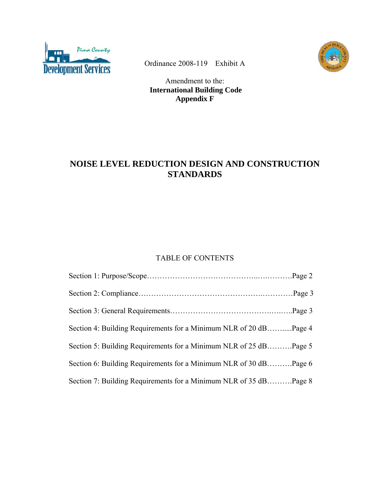



Ordinance 2008-119 Exhibit A

Amendment to the:  **International Building Code Appendix F** 

# **NOISE LEVEL REDUCTION DESIGN AND CONSTRUCTION STANDARDS**

## TABLE OF CONTENTS

| Section 4: Building Requirements for a Minimum NLR of 20 dBPage 4 |  |
|-------------------------------------------------------------------|--|
| Section 5: Building Requirements for a Minimum NLR of 25 dBPage 5 |  |
| Section 6: Building Requirements for a Minimum NLR of 30 dBPage 6 |  |
| Section 7: Building Requirements for a Minimum NLR of 35 dBPage 8 |  |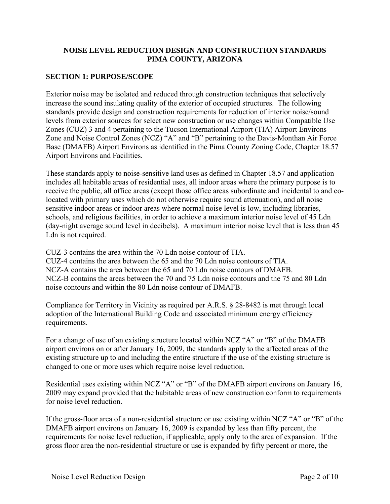## **NOISE LEVEL REDUCTION DESIGN AND CONSTRUCTION STANDARDS PIMA COUNTY, ARIZONA**

## **SECTION 1: PURPOSE/SCOPE**

Exterior noise may be isolated and reduced through construction techniques that selectively increase the sound insulating quality of the exterior of occupied structures. The following standards provide design and construction requirements for reduction of interior noise/sound levels from exterior sources for select new construction or use changes within Compatible Use Zones (CUZ) 3 and 4 pertaining to the Tucson International Airport (TIA) Airport Environs Zone and Noise Control Zones (NCZ) "A" and "B" pertaining to the Davis-Monthan Air Force Base (DMAFB) Airport Environs as identified in the Pima County Zoning Code, Chapter 18.57 Airport Environs and Facilities.

These standards apply to noise-sensitive land uses as defined in Chapter 18.57 and application includes all habitable areas of residential uses, all indoor areas where the primary purpose is to receive the public, all office areas (except those office areas subordinate and incidental to and colocated with primary uses which do not otherwise require sound attenuation), and all noise sensitive indoor areas or indoor areas where normal noise level is low, including libraries, schools, and religious facilities, in order to achieve a maximum interior noise level of 45 Ldn (day-night average sound level in decibels). A maximum interior noise level that is less than 45 Ldn is not required.

CUZ-3 contains the area within the 70 Ldn noise contour of TIA.

CUZ-4 contains the area between the 65 and the 70 Ldn noise contours of TIA. NCZ-A contains the area between the 65 and 70 Ldn noise contours of DMAFB. NCZ-B contains the areas between the 70 and 75 Ldn noise contours and the 75 and 80 Ldn noise contours and within the 80 Ldn noise contour of DMAFB.

Compliance for Territory in Vicinity as required per A.R.S. § 28-8482 is met through local adoption of the International Building Code and associated minimum energy efficiency requirements.

For a change of use of an existing structure located within NCZ "A" or "B" of the DMAFB airport environs on or after January 16, 2009, the standards apply to the affected areas of the existing structure up to and including the entire structure if the use of the existing structure is changed to one or more uses which require noise level reduction.

Residential uses existing within NCZ "A" or "B" of the DMAFB airport environs on January 16, 2009 may expand provided that the habitable areas of new construction conform to requirements for noise level reduction.

If the gross-floor area of a non-residential structure or use existing within NCZ "A" or "B" of the DMAFB airport environs on January 16, 2009 is expanded by less than fifty percent, the requirements for noise level reduction, if applicable, apply only to the area of expansion. If the gross floor area the non-residential structure or use is expanded by fifty percent or more, the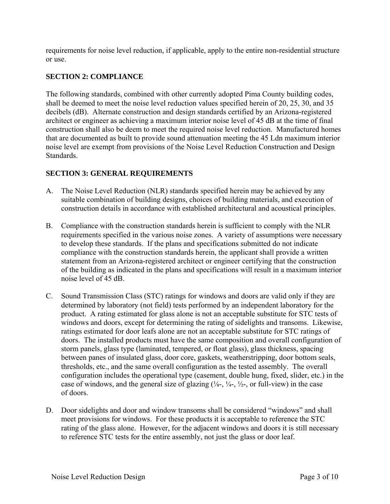requirements for noise level reduction, if applicable, apply to the entire non-residential structure or use.

## **SECTION 2: COMPLIANCE**

The following standards, combined with other currently adopted Pima County building codes, shall be deemed to meet the noise level reduction values specified herein of 20, 25, 30, and 35 decibels (dB). Alternate construction and design standards certified by an Arizona-registered architect or engineer as achieving a maximum interior noise level of 45 dB at the time of final construction shall also be deem to meet the required noise level reduction. Manufactured homes that are documented as built to provide sound attenuation meeting the 45 Ldn maximum interior noise level are exempt from provisions of the Noise Level Reduction Construction and Design Standards.

## **SECTION 3: GENERAL REQUIREMENTS**

- A. The Noise Level Reduction (NLR) standards specified herein may be achieved by any suitable combination of building designs, choices of building materials, and execution of construction details in accordance with established architectural and acoustical principles.
- B. Compliance with the construction standards herein is sufficient to comply with the NLR requirements specified in the various noise zones. A variety of assumptions were necessary to develop these standards. If the plans and specifications submitted do not indicate compliance with the construction standards herein, the applicant shall provide a written statement from an Arizona-registered architect or engineer certifying that the construction of the building as indicated in the plans and specifications will result in a maximum interior noise level of 45 dB.
- C. Sound Transmission Class (STC) ratings for windows and doors are valid only if they are determined by laboratory (not field) tests performed by an independent laboratory for the product. A rating estimated for glass alone is not an acceptable substitute for STC tests of windows and doors, except for determining the rating of sidelights and transoms. Likewise, ratings estimated for door leafs alone are not an acceptable substitute for STC ratings of doors. The installed products must have the same composition and overall configuration of storm panels, glass type (laminated, tempered, or float glass), glass thickness, spacing between panes of insulated glass, door core, gaskets, weatherstripping, door bottom seals, thresholds, etc., and the same overall configuration as the tested assembly. The overall configuration includes the operational type (casement, double hung, fixed, slider, etc.) in the case of windows, and the general size of glazing  $(\frac{1}{8} - \frac{1}{4} - \frac{1}{2})$ , or full-view) in the case of doors.
- D. Door sidelights and door and window transoms shall be considered "windows" and shall meet provisions for windows. For these products it is acceptable to reference the STC rating of the glass alone. However, for the adjacent windows and doors it is still necessary to reference STC tests for the entire assembly, not just the glass or door leaf.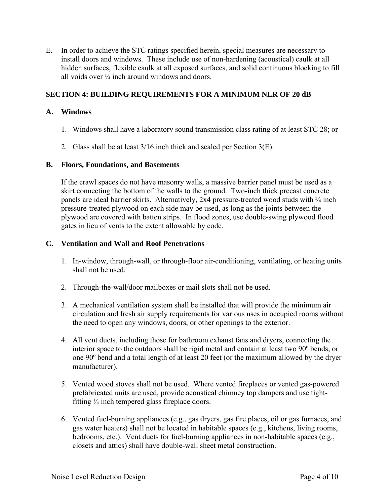E. In order to achieve the STC ratings specified herein, special measures are necessary to install doors and windows. These include use of non-hardening (acoustical) caulk at all hidden surfaces, flexible caulk at all exposed surfaces, and solid continuous blocking to fill all voids over  $\frac{1}{4}$  inch around windows and doors.

## **SECTION 4: BUILDING REQUIREMENTS FOR A MINIMUM NLR OF 20 dB**

#### **A. Windows**

- 1. Windows shall have a laboratory sound transmission class rating of at least STC 28; or
- 2. Glass shall be at least 3/16 inch thick and sealed per Section 3(E).

#### **B. Floors, Foundations, and Basements**

If the crawl spaces do not have masonry walls, a massive barrier panel must be used as a skirt connecting the bottom of the walls to the ground. Two-inch thick precast concrete panels are ideal barrier skirts. Alternatively,  $2x4$  pressure-treated wood studs with  $\frac{3}{4}$  inch pressure-treated plywood on each side may be used, as long as the joints between the plywood are covered with batten strips. In flood zones, use double-swing plywood flood gates in lieu of vents to the extent allowable by code.

#### **C. Ventilation and Wall and Roof Penetrations**

- 1. In-window, through-wall, or through-floor air-conditioning, ventilating, or heating units shall not be used.
- 2. Through-the-wall/door mailboxes or mail slots shall not be used.
- 3. A mechanical ventilation system shall be installed that will provide the minimum air circulation and fresh air supply requirements for various uses in occupied rooms without the need to open any windows, doors, or other openings to the exterior.
- 4. All vent ducts, including those for bathroom exhaust fans and dryers, connecting the interior space to the outdoors shall be rigid metal and contain at least two 90º bends, or one 90º bend and a total length of at least 20 feet (or the maximum allowed by the dryer manufacturer).
- 5. Vented wood stoves shall not be used. Where vented fireplaces or vented gas-powered prefabricated units are used, provide acoustical chimney top dampers and use tight fitting ¼ inch tempered glass fireplace doors.
- 6. Vented fuel-burning appliances (e.g., gas dryers, gas fire places, oil or gas furnaces, and gas water heaters) shall not be located in habitable spaces (e.g., kitchens, living rooms, bedrooms, etc.). Vent ducts for fuel-burning appliances in non-habitable spaces (e.g., closets and attics) shall have double-wall sheet metal construction.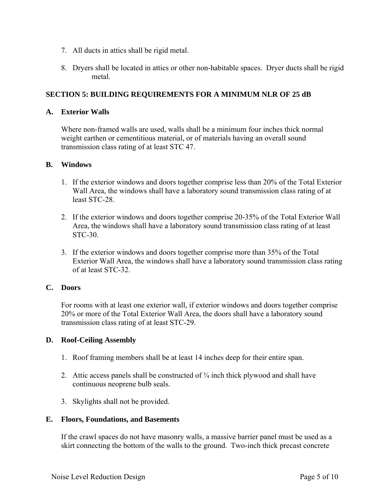- 7. All ducts in attics shall be rigid metal.
- 8. Dryers shall be located in attics or other non-habitable spaces. Dryer ducts shall be rigid metal.

## **SECTION 5: BUILDING REQUIREMENTS FOR A MINIMUM NLR OF 25 dB**

#### **A. Exterior Walls**

Where non-framed walls are used, walls shall be a minimum four inches thick normal weight earthen or cementitious material, or of materials having an overall sound transmission class rating of at least STC 47.

#### **B. Windows**

- 1. If the exterior windows and doors together comprise less than 20% of the Total Exterior Wall Area, the windows shall have a laboratory sound transmission class rating of at least STC-28.
- 2. If the exterior windows and doors together comprise 20-35% of the Total Exterior Wall Area, the windows shall have a laboratory sound transmission class rating of at least STC-30.
- 3. If the exterior windows and doors together comprise more than 35% of the Total Exterior Wall Area, the windows shall have a laboratory sound transmission class rating of at least STC-32.

#### **C. Doors**

For rooms with at least one exterior wall, if exterior windows and doors together comprise 20% or more of the Total Exterior Wall Area, the doors shall have a laboratory sound transmission class rating of at least STC-29.

#### **D. Roof-Ceiling Assembly**

- 1. Roof framing members shall be at least 14 inches deep for their entire span.
- 2. Attic access panels shall be constructed of  $\frac{3}{4}$  inch thick plywood and shall have continuous neoprene bulb seals.
- 3. Skylights shall not be provided.

#### **E. Floors, Foundations, and Basements**

 If the crawl spaces do not have masonry walls, a massive barrier panel must be used as a skirt connecting the bottom of the walls to the ground. Two-inch thick precast concrete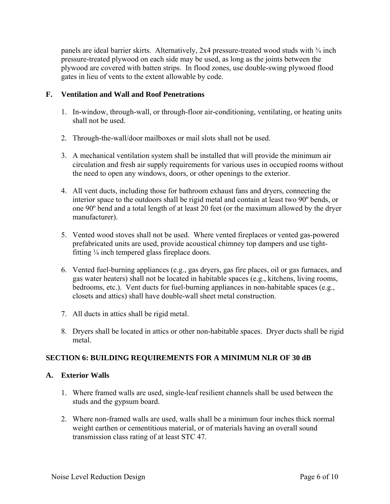panels are ideal barrier skirts. Alternatively, 2x4 pressure-treated wood studs with  $\frac{3}{4}$  inch pressure-treated plywood on each side may be used, as long as the joints between the plywood are covered with batten strips. In flood zones, use double-swing plywood flood gates in lieu of vents to the extent allowable by code.

## **F. Ventilation and Wall and Roof Penetrations**

- 1. In-window, through-wall, or through-floor air-conditioning, ventilating, or heating units shall not be used.
- 2. Through-the-wall/door mailboxes or mail slots shall not be used.
- 3. A mechanical ventilation system shall be installed that will provide the minimum air circulation and fresh air supply requirements for various uses in occupied rooms without the need to open any windows, doors, or other openings to the exterior.
- 4. All vent ducts, including those for bathroom exhaust fans and dryers, connecting the interior space to the outdoors shall be rigid metal and contain at least two 90º bends, or one 90º bend and a total length of at least 20 feet (or the maximum allowed by the dryer manufacturer).
- 5. Vented wood stoves shall not be used. Where vented fireplaces or vented gas-powered prefabricated units are used, provide acoustical chimney top dampers and use tight fitting ¼ inch tempered glass fireplace doors.
- 6. Vented fuel-burning appliances (e.g., gas dryers, gas fire places, oil or gas furnaces, and gas water heaters) shall not be located in habitable spaces (e.g., kitchens, living rooms, bedrooms, etc.). Vent ducts for fuel-burning appliances in non-habitable spaces (e.g., closets and attics) shall have double-wall sheet metal construction.
- 7. All ducts in attics shall be rigid metal.
- 8. Dryers shall be located in attics or other non-habitable spaces. Dryer ducts shall be rigid metal.

## **SECTION 6: BUILDING REQUIREMENTS FOR A MINIMUM NLR OF 30 dB**

## **A. Exterior Walls**

- 1. Where framed walls are used, single-leaf resilient channels shall be used between the studs and the gypsum board.
- 2. Where non-framed walls are used, walls shall be a minimum four inches thick normal weight earthen or cementitious material, or of materials having an overall sound transmission class rating of at least STC 47.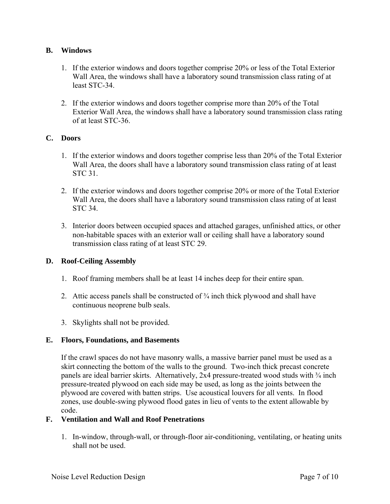## **B. Windows**

- 1. If the exterior windows and doors together comprise 20% or less of the Total Exterior Wall Area, the windows shall have a laboratory sound transmission class rating of at least STC-34.
- 2. If the exterior windows and doors together comprise more than 20% of the Total Exterior Wall Area, the windows shall have a laboratory sound transmission class rating of at least STC-36.

## **C. Doors**

- 1. If the exterior windows and doors together comprise less than 20% of the Total Exterior Wall Area, the doors shall have a laboratory sound transmission class rating of at least STC 31.
- 2. If the exterior windows and doors together comprise 20% or more of the Total Exterior Wall Area, the doors shall have a laboratory sound transmission class rating of at least STC 34.
- 3. Interior doors between occupied spaces and attached garages, unfinished attics, or other non-habitable spaces with an exterior wall or ceiling shall have a laboratory sound transmission class rating of at least STC 29.

## **D. Roof-Ceiling Assembly**

- 1. Roof framing members shall be at least 14 inches deep for their entire span.
- 2. Attic access panels shall be constructed of  $\frac{3}{4}$  inch thick plywood and shall have continuous neoprene bulb seals.
- 3. Skylights shall not be provided.

## **E. Floors, Foundations, and Basements**

 If the crawl spaces do not have masonry walls, a massive barrier panel must be used as a skirt connecting the bottom of the walls to the ground. Two-inch thick precast concrete panels are ideal barrier skirts. Alternatively,  $2x4$  pressure-treated wood studs with  $\frac{3}{4}$  inch pressure-treated plywood on each side may be used, as long as the joints between the plywood are covered with batten strips. Use acoustical louvers for all vents. In flood zones, use double-swing plywood flood gates in lieu of vents to the extent allowable by code.

## **F. Ventilation and Wall and Roof Penetrations**

1. In-window, through-wall, or through-floor air-conditioning, ventilating, or heating units shall not be used.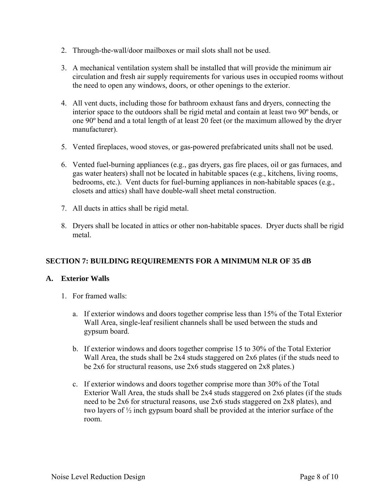- 2. Through-the-wall/door mailboxes or mail slots shall not be used.
- 3. A mechanical ventilation system shall be installed that will provide the minimum air circulation and fresh air supply requirements for various uses in occupied rooms without the need to open any windows, doors, or other openings to the exterior.
- 4. All vent ducts, including those for bathroom exhaust fans and dryers, connecting the interior space to the outdoors shall be rigid metal and contain at least two 90º bends, or one 90º bend and a total length of at least 20 feet (or the maximum allowed by the dryer manufacturer).
- 5. Vented fireplaces, wood stoves, or gas-powered prefabricated units shall not be used.
- 6. Vented fuel-burning appliances (e.g., gas dryers, gas fire places, oil or gas furnaces, and gas water heaters) shall not be located in habitable spaces (e.g., kitchens, living rooms, bedrooms, etc.). Vent ducts for fuel-burning appliances in non-habitable spaces (e.g., closets and attics) shall have double-wall sheet metal construction.
- 7. All ducts in attics shall be rigid metal.
- 8. Dryers shall be located in attics or other non-habitable spaces. Dryer ducts shall be rigid metal.

## **SECTION 7: BUILDING REQUIREMENTS FOR A MINIMUM NLR OF 35 dB**

#### **A. Exterior Walls**

- 1. For framed walls:
	- a. If exterior windows and doors together comprise less than 15% of the Total Exterior Wall Area, single-leaf resilient channels shall be used between the studs and gypsum board.
	- b. If exterior windows and doors together comprise 15 to 30% of the Total Exterior Wall Area, the studs shall be 2x4 studs staggered on 2x6 plates (if the studs need to be 2x6 for structural reasons, use 2x6 studs staggered on 2x8 plates.)
	- c. If exterior windows and doors together comprise more than 30% of the Total Exterior Wall Area, the studs shall be 2x4 studs staggered on 2x6 plates (if the studs need to be 2x6 for structural reasons, use 2x6 studs staggered on 2x8 plates), and two layers of ½ inch gypsum board shall be provided at the interior surface of the room.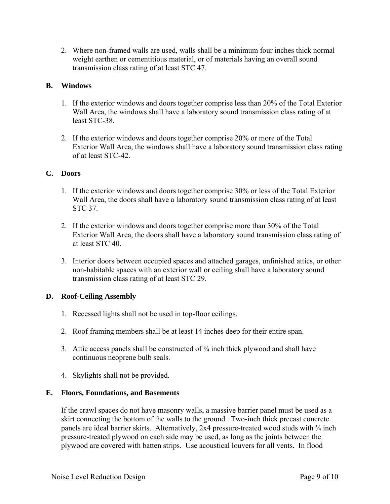2. Where non-framed walls are used, walls shall be a minimum four inches thick normal weight earthen or cementitious material, or of materials having an overall sound transmission class rating of at least STC 47.

#### **B. Windows**

- 1. If the exterior windows and doors together comprise less than 20% of the Total Exterior Wall Area, the windows shall have a laboratory sound transmission class rating of at least STC-38.
- 2. If the exterior windows and doors together comprise 20% or more of the Total Exterior Wall Area, the windows shall have a laboratory sound transmission class rating of at least STC-42.

#### **C. Doors**

- 1. If the exterior windows and doors together comprise 30% or less of the Total Exterior Wall Area, the doors shall have a laboratory sound transmission class rating of at least STC 37.
- 2. If the exterior windows and doors together comprise more than 30% of the Total Exterior Wall Area, the doors shall have a laboratory sound transmission class rating of at least STC 40.
- 3. Interior doors between occupied spaces and attached garages, unfinished attics, or other non-habitable spaces with an exterior wall or ceiling shall have a laboratory sound transmission class rating of at least STC 29.

## **D. Roof-Ceiling Assembly**

- 1. Recessed lights shall not be used in top-floor ceilings.
- 2. Roof framing members shall be at least 14 inches deep for their entire span.
- 3. Attic access panels shall be constructed of  $\frac{3}{4}$  inch thick plywood and shall have continuous neoprene bulb seals.
- 4. Skylights shall not be provided.

#### **E. Floors, Foundations, and Basements**

 If the crawl spaces do not have masonry walls, a massive barrier panel must be used as a skirt connecting the bottom of the walls to the ground. Two-inch thick precast concrete panels are ideal barrier skirts. Alternatively,  $2x4$  pressure-treated wood studs with  $\frac{3}{4}$  inch pressure-treated plywood on each side may be used, as long as the joints between the plywood are covered with batten strips. Use acoustical louvers for all vents. In flood